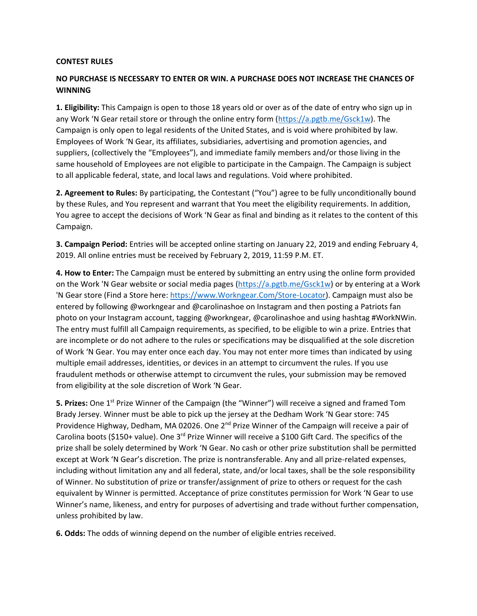## **CONTEST RULES**

## **NO PURCHASE IS NECESSARY TO ENTER OR WIN. A PURCHASE DOES NOT INCREASE THE CHANCES OF WINNING**

**1. Eligibility:** This Campaign is open to those 18 years old or over as of the date of entry who sign up in any Work 'N Gear retail store or through the online entry form ([https://a.pgtb.me/Gsck1w\)](https://a.pgtb.me/Gsck1w). The Campaign is only open to legal residents of the United States, and is void where prohibited by law. Employees of Work 'N Gear, its affiliates, subsidiaries, advertising and promotion agencies, and suppliers, (collectively the "Employees"), and immediate family members and/or those living in the same household of Employees are not eligible to participate in the Campaign. The Campaign is subject to all applicable federal, state, and local laws and regulations. Void where prohibited.

**2. Agreement to Rules:** By participating, the Contestant ("You") agree to be fully unconditionally bound by these Rules, and You represent and warrant that You meet the eligibility requirements. In addition, You agree to accept the decisions of Work 'N Gear as final and binding as it relates to the content of this Campaign.

**3. Campaign Period:** Entries will be accepted online starting on January 22, 2019 and ending February 4, 2019. All online entries must be received by February 2, 2019, 11:59 P.M. ET.

**4. How to Enter:** The Campaign must be entered by submitting an entry using the online form provided on the Work 'N Gear website or social media pages [\(https://a.pgtb.me/Gsck1w\)](https://a.pgtb.me/Gsck1w) or by entering at a Work 'N Gear store (Find a Store here: [https://www.Workngear.Com/Store-Locator\)](https://www.workngear.com/Store-Locator). Campaign must also be entered by following @workngear and @carolinashoe on Instagram and then posting a Patriots fan photo on your Instagram account, tagging @workngear, @carolinashoe and using hashtag #WorkNWin. The entry must fulfill all Campaign requirements, as specified, to be eligible to win a prize. Entries that are incomplete or do not adhere to the rules or specifications may be disqualified at the sole discretion of Work 'N Gear. You may enter once each day. You may not enter more times than indicated by using multiple email addresses, identities, or devices in an attempt to circumvent the rules. If you use fraudulent methods or otherwise attempt to circumvent the rules, your submission may be removed from eligibility at the sole discretion of Work 'N Gear.

**5. Prizes:** One 1<sup>st</sup> Prize Winner of the Campaign (the "Winner") will receive a signed and framed Tom Brady Jersey. Winner must be able to pick up the jersey at the Dedham Work 'N Gear store: 745 Providence Highway, Dedham, MA 02026. One 2<sup>nd</sup> Prize Winner of the Campaign will receive a pair of Carolina boots (\$150+ value). One 3<sup>rd</sup> Prize Winner will receive a \$100 Gift Card. The specifics of the prize shall be solely determined by Work 'N Gear. No cash or other prize substitution shall be permitted except at Work 'N Gear's discretion. The prize is nontransferable. Any and all prize-related expenses, including without limitation any and all federal, state, and/or local taxes, shall be the sole responsibility of Winner. No substitution of prize or transfer/assignment of prize to others or request for the cash equivalent by Winner is permitted. Acceptance of prize constitutes permission for Work 'N Gear to use Winner's name, likeness, and entry for purposes of advertising and trade without further compensation, unless prohibited by law.

**6. Odds:** The odds of winning depend on the number of eligible entries received.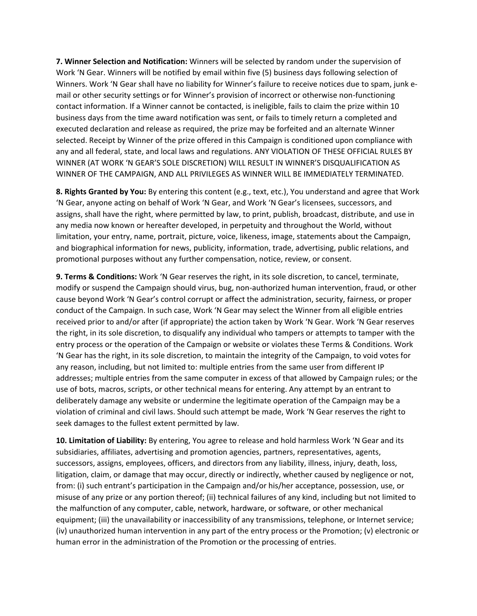**7. Winner Selection and Notification:** Winners will be selected by random under the supervision of Work 'N Gear. Winners will be notified by email within five (5) business days following selection of Winners. Work 'N Gear shall have no liability for Winner's failure to receive notices due to spam, junk email or other security settings or for Winner's provision of incorrect or otherwise non-functioning contact information. If a Winner cannot be contacted, is ineligible, fails to claim the prize within 10 business days from the time award notification was sent, or fails to timely return a completed and executed declaration and release as required, the prize may be forfeited and an alternate Winner selected. Receipt by Winner of the prize offered in this Campaign is conditioned upon compliance with any and all federal, state, and local laws and regulations. ANY VIOLATION OF THESE OFFICIAL RULES BY WINNER (AT WORK 'N GEAR'S SOLE DISCRETION) WILL RESULT IN WINNER'S DISQUALIFICATION AS WINNER OF THE CAMPAIGN, AND ALL PRIVILEGES AS WINNER WILL BE IMMEDIATELY TERMINATED.

**8. Rights Granted by You:** By entering this content (e.g., text, etc.), You understand and agree that Work 'N Gear, anyone acting on behalf of Work 'N Gear, and Work 'N Gear's licensees, successors, and assigns, shall have the right, where permitted by law, to print, publish, broadcast, distribute, and use in any media now known or hereafter developed, in perpetuity and throughout the World, without limitation, your entry, name, portrait, picture, voice, likeness, image, statements about the Campaign, and biographical information for news, publicity, information, trade, advertising, public relations, and promotional purposes without any further compensation, notice, review, or consent.

**9. Terms & Conditions:** Work 'N Gear reserves the right, in its sole discretion, to cancel, terminate, modify or suspend the Campaign should virus, bug, non-authorized human intervention, fraud, or other cause beyond Work 'N Gear's control corrupt or affect the administration, security, fairness, or proper conduct of the Campaign. In such case, Work 'N Gear may select the Winner from all eligible entries received prior to and/or after (if appropriate) the action taken by Work 'N Gear. Work 'N Gear reserves the right, in its sole discretion, to disqualify any individual who tampers or attempts to tamper with the entry process or the operation of the Campaign or website or violates these Terms & Conditions. Work 'N Gear has the right, in its sole discretion, to maintain the integrity of the Campaign, to void votes for any reason, including, but not limited to: multiple entries from the same user from different IP addresses; multiple entries from the same computer in excess of that allowed by Campaign rules; or the use of bots, macros, scripts, or other technical means for entering. Any attempt by an entrant to deliberately damage any website or undermine the legitimate operation of the Campaign may be a violation of criminal and civil laws. Should such attempt be made, Work 'N Gear reserves the right to seek damages to the fullest extent permitted by law.

**10. Limitation of Liability:** By entering, You agree to release and hold harmless Work 'N Gear and its subsidiaries, affiliates, advertising and promotion agencies, partners, representatives, agents, successors, assigns, employees, officers, and directors from any liability, illness, injury, death, loss, litigation, claim, or damage that may occur, directly or indirectly, whether caused by negligence or not, from: (i) such entrant's participation in the Campaign and/or his/her acceptance, possession, use, or misuse of any prize or any portion thereof; (ii) technical failures of any kind, including but not limited to the malfunction of any computer, cable, network, hardware, or software, or other mechanical equipment; (iii) the unavailability or inaccessibility of any transmissions, telephone, or Internet service; (iv) unauthorized human intervention in any part of the entry process or the Promotion; (v) electronic or human error in the administration of the Promotion or the processing of entries.